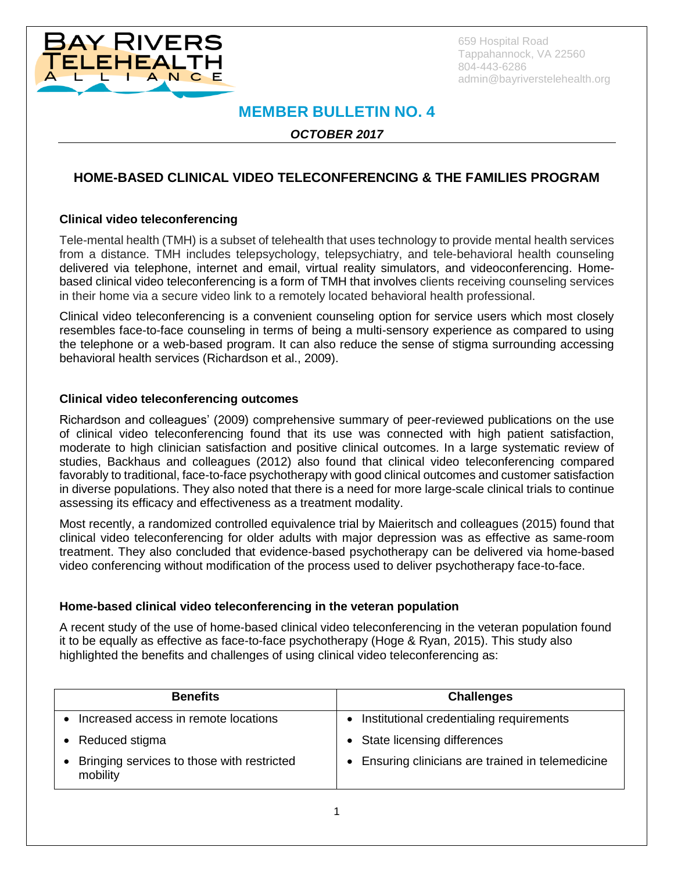

659 Hospital Road Tappahannock, VA 22560 804-443-6286 admin@bayriverstelehealth.org

# **MEMBER BULLETIN NO. 4**

*OCTOBER 2017*

# **HOME-BASED CLINICAL VIDEO TELECONFERENCING & THE FAMILIES PROGRAM**

## **Clinical video teleconferencing**

Tele-mental health (TMH) is a subset of telehealth that uses technology to provide mental health services from a distance. TMH includes telepsychology, telepsychiatry, and tele-behavioral health counseling delivered via telephone, internet and email, virtual reality simulators, and videoconferencing. Homebased clinical video teleconferencing is a form of TMH that involves clients receiving counseling services in their home via a secure video link to a remotely located behavioral health professional.

Clinical video teleconferencing is a convenient counseling option for service users which most closely resembles face-to-face counseling in terms of being a multi-sensory experience as compared to using the telephone or a web-based program. It can also reduce the sense of stigma surrounding accessing behavioral health services (Richardson et al., 2009).

## **Clinical video teleconferencing outcomes**

Richardson and colleagues' (2009) comprehensive summary of peer-reviewed publications on the use of clinical video teleconferencing found that its use was connected with high patient satisfaction, moderate to high clinician satisfaction and positive clinical outcomes. In a large systematic review of studies, Backhaus and colleagues (2012) also found that clinical video teleconferencing compared favorably to traditional, face-to-face psychotherapy with good clinical outcomes and customer satisfaction in diverse populations. They also noted that there is a need for more large-scale clinical trials to continue assessing its efficacy and effectiveness as a treatment modality.

Most recently, a randomized controlled equivalence trial by Maieritsch and colleagues (2015) found that clinical video teleconferencing for older adults with major depression was as effective as same-room treatment. They also concluded that evidence-based psychotherapy can be delivered via home-based video conferencing without modification of the process used to deliver psychotherapy face-to-face.

#### **Home-based clinical video teleconferencing in the veteran population**

A recent study of the use of home-based clinical video teleconferencing in the veteran population found it to be equally as effective as face-to-face psychotherapy (Hoge & Ryan, 2015). This study also highlighted the benefits and challenges of using clinical video teleconferencing as:

| <b>Benefits</b>                                          | <b>Challenges</b>                                 |
|----------------------------------------------------------|---------------------------------------------------|
| Increased access in remote locations                     | • Institutional credentialing requirements        |
| Reduced stigma                                           | • State licensing differences                     |
| • Bringing services to those with restricted<br>mobility | • Ensuring clinicians are trained in telemedicine |